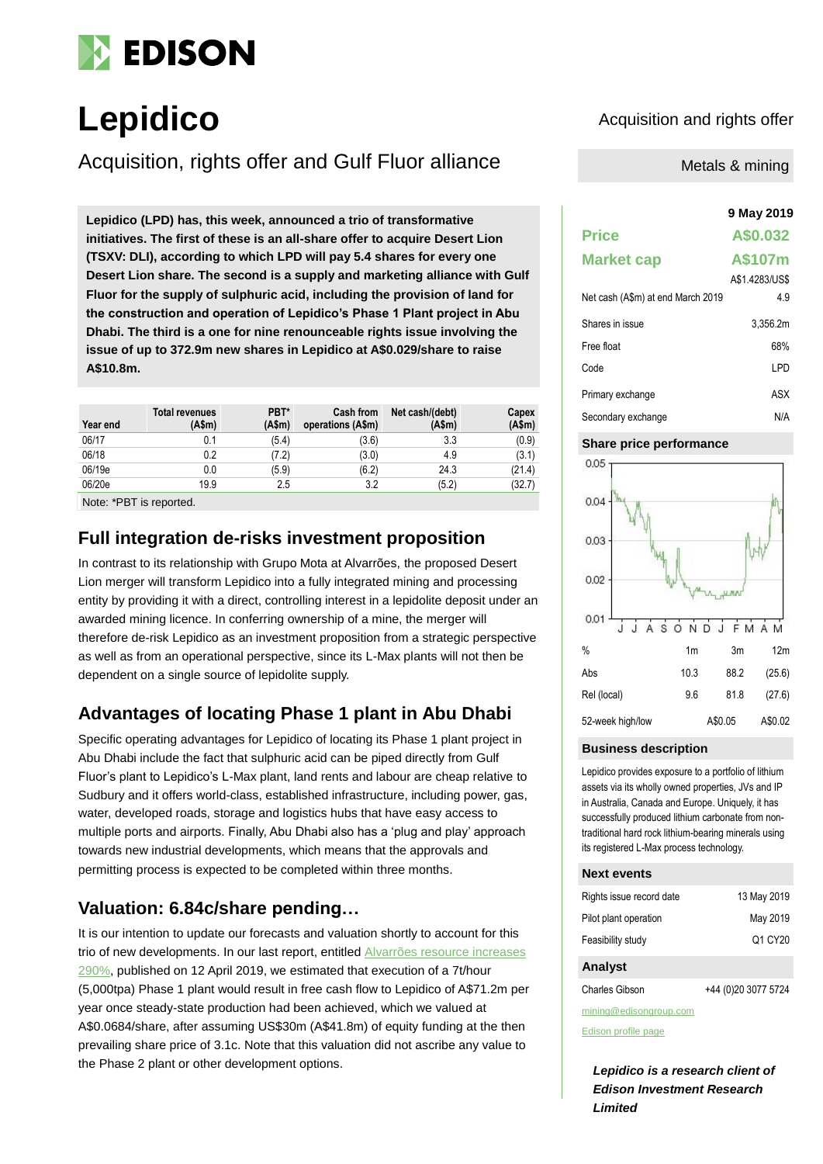

# Lepidico<br> **Lepidico**<br>
Acquisition and rights offer

Acquisition, rights offer and Gulf Fluor alliance

**9 May 2019 Lepidico (LPD) has, this week, announced a trio of transformative initiatives. The first of these is an all-share offer to acquire Desert Lion (TSXV: DLI), according to which LPD will pay 5.4 shares for every one Desert Lion share. The second is a supply and marketing alliance with Gulf Fluor for the supply of sulphuric acid, including the provision of land for the construction and operation of Lepidico's Phase 1 Plant project in Abu Dhabi. The third is a one for nine renounceable rights issue involving the issue of up to 372.9m new shares in Lepidico at A\$0.029/share to raise A\$10.8m.**

| Year end                       | <b>Total revenues</b><br>(A\$m) | PBT*<br>(Asm) | Cash from<br>operations (A\$m) | Net cash/(debt)<br>(Asm) | Capex<br>(A\$m) |
|--------------------------------|---------------------------------|---------------|--------------------------------|--------------------------|-----------------|
| 06/17                          | 0.1                             | (5.4)         | (3.6)                          | 3.3                      | (0.9)           |
| 06/18                          | 0.2                             | (7.2)         | (3.0)                          | 4.9                      | (3.1)           |
| 06/19e                         | 0.0                             | (5.9)         | (6.2)                          | 24.3                     | (21.4)          |
| 06/20e                         | 19.9                            | 2.5           | 3.2                            | (5.2)                    | (32.7)          |
| Note: <b>+DDT</b> to a control |                                 |               |                                |                          |                 |

Note: \*PBT is reported.

### **Full integration de-risks investment proposition**

In contrast to its relationship with Grupo Mota at Alvarrões, the proposed Desert Lion merger will transform Lepidico into a fully integrated mining and processing entity by providing it with a direct, controlling interest in a lepidolite deposit under an awarded mining licence. In conferring ownership of a mine, the merger will therefore de-risk Lepidico as an investment proposition from a strategic perspective as well as from an operational perspective, since its L-Max plants will not then be dependent on a single source of lepidolite supply.

### **Advantages of locating Phase 1 plant in Abu Dhabi**

Specific operating advantages for Lepidico of locating its Phase 1 plant project in Abu Dhabi include the fact that sulphuric acid can be piped directly from Gulf Fluor's plant to Lepidico's L-Max plant, land rents and labour are cheap relative to Sudbury and it offers world-class, established infrastructure, including power, gas, water, developed roads, storage and logistics hubs that have easy access to multiple ports and airports. Finally, Abu Dhabi also has a 'plug and play' approach towards new industrial developments, which means that the approvals and permitting process is expected to be completed within three months.

### **Valuation: 6.84c/share pending…**

It is our intention to update our forecasts and valuation shortly to account for this trio of new developments. In our last report, entitled [Alvarrões resource increases](https://www.edisongroup.com/publication/alvarroes-resource-increases-290/23923)  [290%,](https://www.edisongroup.com/publication/alvarroes-resource-increases-290/23923) published on 12 April 2019, we estimated that execution of a 7t/hour (5,000tpa) Phase 1 plant would result in free cash flow to Lepidico of A\$71.2m per year once steady-state production had been achieved, which we valued at A\$0.0684/share, after assuming US\$30m (A\$41.8m) of equity funding at the then prevailing share price of 3.1c. Note that this valuation did not ascribe any value to the Phase 2 plant or other development options.

Metals & mining

## **Price A\$0.032 Market cap A\$107m** A\$1.4283/US\$ Net cash (A\$m) at end March 2019 4.9 Shares in issue 3,356.2m Free float 68% Code LPD Primary exchange ASX Secondary exchange N/A

#### **Share price performance**



#### **Business description**

Lepidico provides exposure to a portfolio of lithium assets via its wholly owned properties, JVs and IP in Australia, Canada and Europe. Uniquely, it has successfully produced lithium carbonate from nontraditional hard rock lithium-bearing minerals using its registered L-Max process technology.

#### **Next events**

| Rights issue record date | 13 May 2019 |
|--------------------------|-------------|
| Pilot plant operation    | May 2019    |
| Feasibility study        | Q1 CY20     |

#### **Analyst**

Charles Gibson +44 (0)20 3077 5724

mining@edisongroup.com

[Edison profile page](https://www.edisongroup.com/company/lepidico/)

*Lepidico is a research client of Edison Investment Research Limited*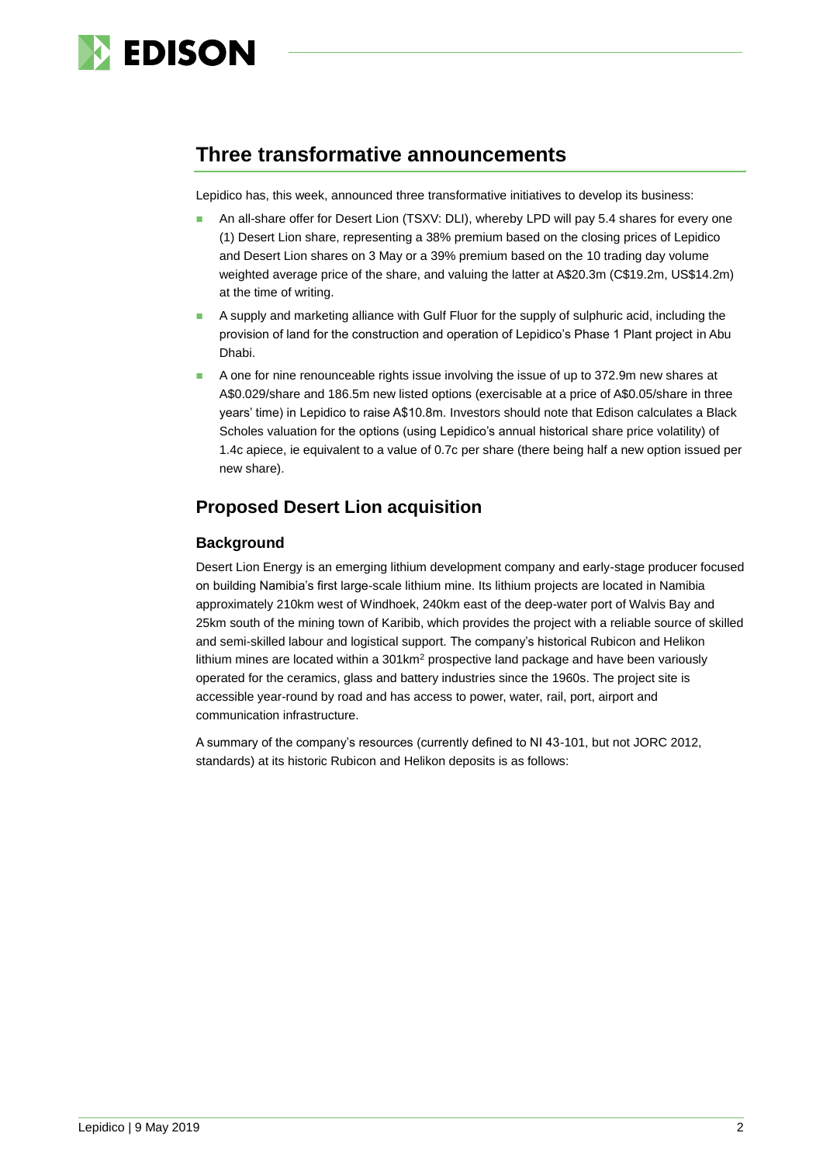

## **Three transformative announcements**

Lepidico has, this week, announced three transformative initiatives to develop its business:

- An all-share offer for Desert Lion (TSXV: DLI), whereby LPD will pay 5.4 shares for every one (1) Desert Lion share, representing a 38% premium based on the closing prices of Lepidico and Desert Lion shares on 3 May or a 39% premium based on the 10 trading day volume weighted average price of the share, and valuing the latter at A\$20.3m (C\$19.2m, US\$14.2m) at the time of writing.
- ◼ A supply and marketing alliance with Gulf Fluor for the supply of sulphuric acid, including the provision of land for the construction and operation of Lepidico's Phase 1 Plant project in Abu Dhabi.
- A one for nine renounceable rights issue involving the issue of up to 372.9m new shares at A\$0.029/share and 186.5m new listed options (exercisable at a price of A\$0.05/share in three years' time) in Lepidico to raise A\$10.8m. Investors should note that Edison calculates a Black Scholes valuation for the options (using Lepidico's annual historical share price volatility) of 1.4c apiece, ie equivalent to a value of 0.7c per share (there being half a new option issued per new share).

### **Proposed Desert Lion acquisition**

### **Background**

Desert Lion Energy is an emerging lithium development company and early-stage producer focused on building Namibia's first large-scale lithium mine. Its lithium projects are located in Namibia approximately 210km west of Windhoek, 240km east of the deep-water port of Walvis Bay and 25km south of the mining town of Karibib, which provides the project with a reliable source of skilled and semi-skilled labour and logistical support. The company's historical Rubicon and Helikon lithium mines are located within a  $301 \text{km}^2$  prospective land package and have been variously operated for the ceramics, glass and battery industries since the 1960s. The project site is accessible year-round by road and has access to power, water, rail, port, airport and communication infrastructure.

A summary of the company's resources (currently defined to NI 43-101, but not JORC 2012, standards) at its historic Rubicon and Helikon deposits is as follows: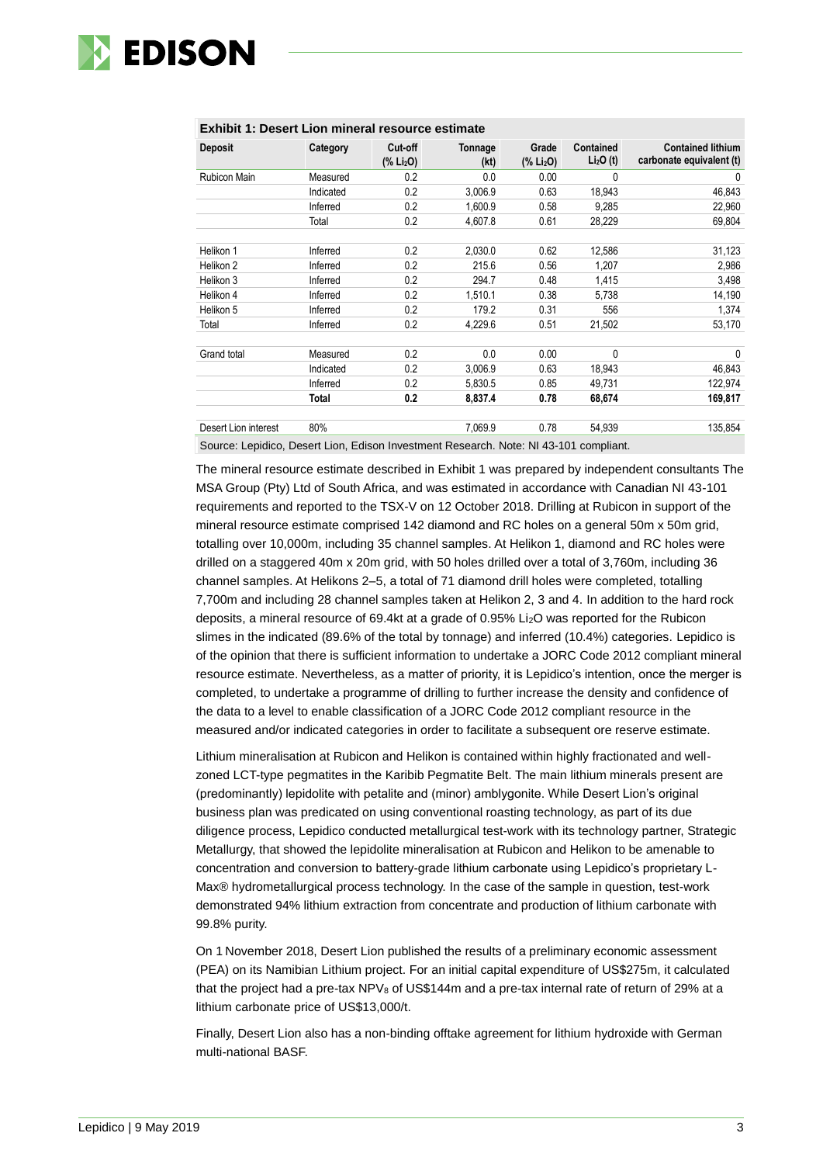

| <b>Deposit</b>       | Category  | Cut off<br>(% Li <sub>2</sub> O) | Tonnage<br>(kt) | Grade<br>(% Li <sub>2</sub> O) | <b>Contained</b><br>Li <sub>2</sub> O(t) | <b>Contained lithium</b><br>carbonate equivalent (t) |
|----------------------|-----------|----------------------------------|-----------------|--------------------------------|------------------------------------------|------------------------------------------------------|
| Rubicon Main         | Measured  | 0.2                              | 0.0             | 0.00                           | 0                                        | 0                                                    |
|                      | Indicated | 0.2                              | 3,006.9         | 0.63                           | 18,943                                   | 46,843                                               |
|                      | Inferred  | 0.2                              | 1,600.9         | 0.58                           | 9,285                                    | 22,960                                               |
|                      | Total     | 0.2                              | 4.607.8         | 0.61                           | 28,229                                   | 69,804                                               |
| Helikon 1            | Inferred  | 0.2                              | 2,030.0         | 0.62                           | 12,586                                   | 31,123                                               |
| Helikon 2            | Inferred  | 0.2                              | 215.6           | 0.56                           | 1,207                                    | 2,986                                                |
| Helikon 3            | Inferred  | 0.2                              | 294.7           | 0.48                           | 1,415                                    | 3,498                                                |
| Helikon 4            | Inferred  | 0.2                              | 1,510.1         | 0.38                           | 5,738                                    | 14,190                                               |
| Helikon 5            | Inferred  | 0.2                              | 179.2           | 0.31                           | 556                                      | 1,374                                                |
| Total                | Inferred  | 0.2                              | 4,229.6         | 0.51                           | 21,502                                   | 53,170                                               |
| Grand total          | Measured  | 0.2                              | 0.0             | 0.00                           | 0                                        | 0                                                    |
|                      | Indicated | 0.2                              | 3,006.9         | 0.63                           | 18,943                                   | 46,843                                               |
|                      | Inferred  | 0.2                              | 5.830.5         | 0.85                           | 49,731                                   | 122,974                                              |
|                      | Total     | 0.2                              | 8,837.4         | 0.78                           | 68,674                                   | 169,817                                              |
| Desert Lion interest | 80%       |                                  | 7,069.9         | 0.78                           | 54,939                                   | 135,854                                              |

#### **Exhibit 1: Desert Lion mineral resource estimate**

Source: Lepidico, Desert Lion, Edison Investment Research. Note: NI 43-101 compliant.

The mineral resource estimate described in Exhibit 1 was prepared by independent consultants The MSA Group (Pty) Ltd of South Africa, and was estimated in accordance with Canadian NI 43-101 requirements and reported to the TSX-V on 12 October 2018. Drilling at Rubicon in support of the mineral resource estimate comprised 142 diamond and RC holes on a general 50m x 50m grid, totalling over 10,000m, including 35 channel samples. At Helikon 1, diamond and RC holes were drilled on a staggered 40m x 20m grid, with 50 holes drilled over a total of 3,760m, including 36 channel samples. At Helikons 2–5, a total of 71 diamond drill holes were completed, totalling 7,700m and including 28 channel samples taken at Helikon 2, 3 and 4. In addition to the hard rock deposits, a mineral resource of 69.4kt at a grade of 0.95% Li2O was reported for the Rubicon slimes in the indicated (89.6% of the total by tonnage) and inferred (10.4%) categories. Lepidico is of the opinion that there is sufficient information to undertake a JORC Code 2012 compliant mineral resource estimate. Nevertheless, as a matter of priority, it is Lepidico's intention, once the merger is completed, to undertake a programme of drilling to further increase the density and confidence of the data to a level to enable classification of a JORC Code 2012 compliant resource in the measured and/or indicated categories in order to facilitate a subsequent ore reserve estimate.

Lithium mineralisation at Rubicon and Helikon is contained within highly fractionated and wellzoned LCT-type pegmatites in the Karibib Pegmatite Belt. The main lithium minerals present are (predominantly) lepidolite with petalite and (minor) amblygonite. While Desert Lion's original business plan was predicated on using conventional roasting technology, as part of its due diligence process, Lepidico conducted metallurgical test-work with its technology partner, Strategic Metallurgy, that showed the lepidolite mineralisation at Rubicon and Helikon to be amenable to concentration and conversion to battery-grade lithium carbonate using Lepidico's proprietary L-Max® hydrometallurgical process technology. In the case of the sample in question, test-work demonstrated 94% lithium extraction from concentrate and production of lithium carbonate with 99.8% purity.

On 1 November 2018, Desert Lion published the results of a preliminary economic assessment (PEA) on its Namibian Lithium project. For an initial capital expenditure of US\$275m, it calculated that the project had a pre-tax NPV $_8$  of US\$144m and a pre-tax internal rate of return of 29% at a lithium carbonate price of US\$13,000/t.

Finally, Desert Lion also has a non-binding offtake agreement for lithium hydroxide with German multi-national BASF.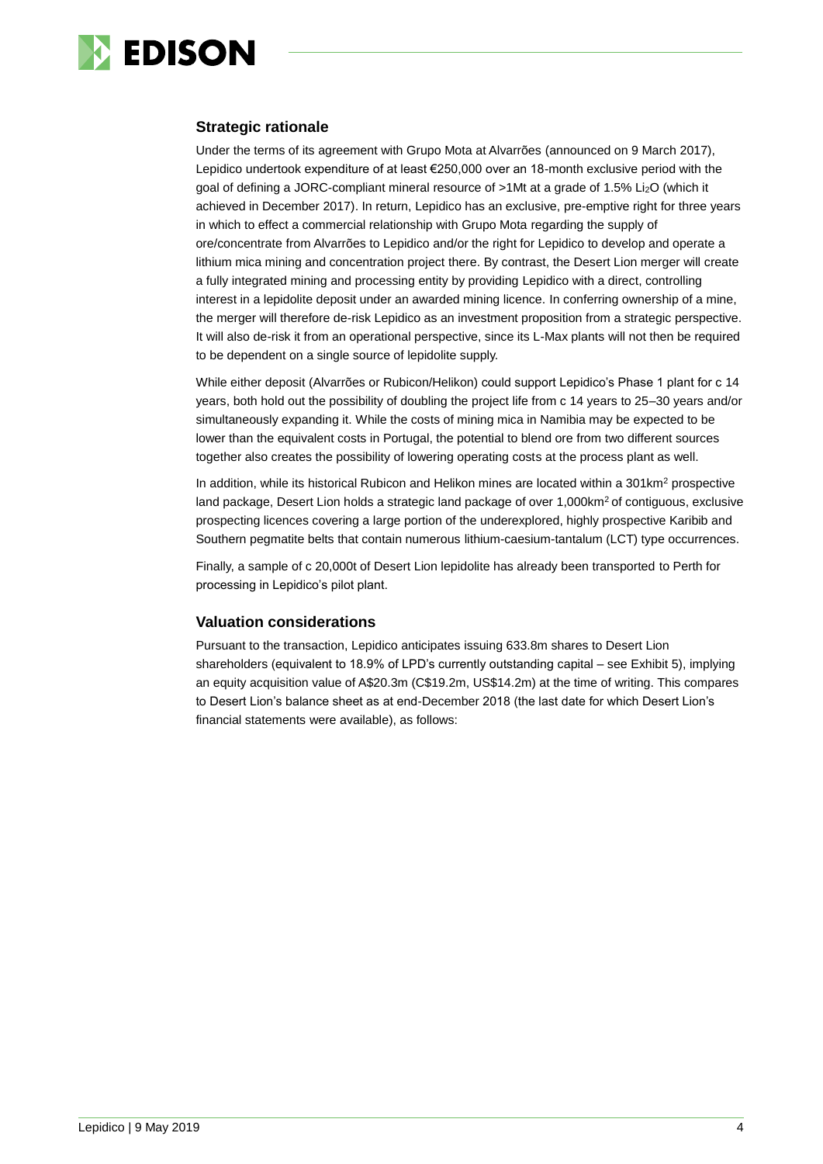

#### **Strategic rationale**

Under the terms of its agreement with Grupo Mota at Alvarrões (announced on 9 March 2017), Lepidico undertook expenditure of at least €250,000 over an 18-month exclusive period with the goal of defining a JORC-compliant mineral resource of >1Mt at a grade of 1.5% Li2O (which it achieved in December 2017). In return, Lepidico has an exclusive, pre-emptive right for three years in which to effect a commercial relationship with Grupo Mota regarding the supply of ore/concentrate from Alvarrões to Lepidico and/or the right for Lepidico to develop and operate a lithium mica mining and concentration project there. By contrast, the Desert Lion merger will create a fully integrated mining and processing entity by providing Lepidico with a direct, controlling interest in a lepidolite deposit under an awarded mining licence. In conferring ownership of a mine, the merger will therefore de-risk Lepidico as an investment proposition from a strategic perspective. It will also de-risk it from an operational perspective, since its L-Max plants will not then be required to be dependent on a single source of lepidolite supply.

While either deposit (Alvarrões or Rubicon/Helikon) could support Lepidico's Phase 1 plant for c 14 years, both hold out the possibility of doubling the project life from c 14 years to 25–30 years and/or simultaneously expanding it. While the costs of mining mica in Namibia may be expected to be lower than the equivalent costs in Portugal, the potential to blend ore from two different sources together also creates the possibility of lowering operating costs at the process plant as well.

In addition, while its historical Rubicon and Helikon mines are located within a 301km<sup>2</sup> prospective land package, Desert Lion holds a strategic land package of over 1,000km<sup>2</sup> of contiguous, exclusive prospecting licences covering a large portion of the underexplored, highly prospective Karibib and Southern pegmatite belts that contain numerous lithium-caesium-tantalum (LCT) type occurrences.

Finally, a sample of c 20,000t of Desert Lion lepidolite has already been transported to Perth for processing in Lepidico's pilot plant.

### **Valuation considerations**

Pursuant to the transaction, Lepidico anticipates issuing 633.8m shares to Desert Lion shareholders (equivalent to 18.9% of LPD's currently outstanding capital – see Exhibit 5), implying an equity acquisition value of A\$20.3m (C\$19.2m, US\$14.2m) at the time of writing. This compares to Desert Lion's balance sheet as at end-December 2018 (the last date for which Desert Lion's financial statements were available), as follows: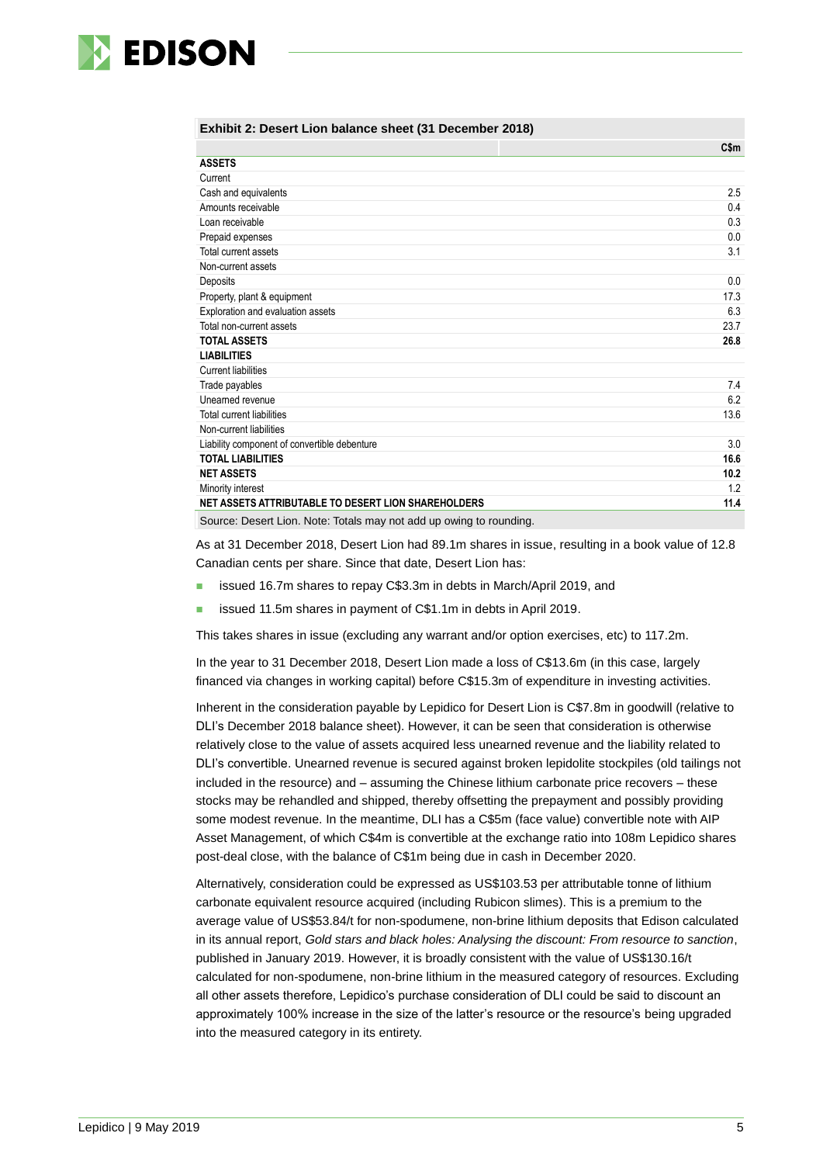

#### **Exhibit 2: Desert Lion balance sheet (31 December 2018)**

|                                                                     | $C$ \$m |
|---------------------------------------------------------------------|---------|
| <b>ASSETS</b>                                                       |         |
| Current                                                             |         |
| Cash and equivalents                                                | 2.5     |
| Amounts receivable                                                  | 0.4     |
| Loan receivable                                                     | 0.3     |
| Prepaid expenses                                                    | 0.0     |
| Total current assets                                                | 3.1     |
| Non-current assets                                                  |         |
| Deposits                                                            | 0.0     |
| Property, plant & equipment                                         | 17.3    |
| Exploration and evaluation assets                                   | 6.3     |
| Total non-current assets                                            | 23.7    |
| <b>TOTAL ASSETS</b>                                                 | 26.8    |
| <b>LIABILITIES</b>                                                  |         |
| <b>Current liabilities</b>                                          |         |
| Trade payables                                                      | 7.4     |
| Unearned revenue                                                    | 6.2     |
| <b>Total current liabilities</b>                                    | 13.6    |
| Non-current liabilities                                             |         |
| Liability component of convertible debenture                        | 3.0     |
| <b>TOTAL LIABILITIES</b>                                            | 16.6    |
| <b>NET ASSETS</b>                                                   | 10.2    |
| Minority interest                                                   | 1.2     |
| NET ASSETS ATTRIBUTABLE TO DESERT LION SHAREHOLDERS                 | 11.4    |
| Source: Desert Lion. Note: Totals may not add up owing to rounding. |         |

As at 31 December 2018, Desert Lion had 89.1m shares in issue, resulting in a book value of 12.8 Canadian cents per share. Since that date, Desert Lion has:

- issued 16.7m shares to repay C\$3.3m in debts in March/April 2019, and
- issued 11.5m shares in payment of C\$1.1m in debts in April 2019.

This takes shares in issue (excluding any warrant and/or option exercises, etc) to 117.2m.

In the year to 31 December 2018, Desert Lion made a loss of C\$13.6m (in this case, largely financed via changes in working capital) before C\$15.3m of expenditure in investing activities.

Inherent in the consideration payable by Lepidico for Desert Lion is C\$7.8m in goodwill (relative to DLI's December 2018 balance sheet). However, it can be seen that consideration is otherwise relatively close to the value of assets acquired less unearned revenue and the liability related to DLI's convertible. Unearned revenue is secured against broken lepidolite stockpiles (old tailings not included in the resource) and – assuming the Chinese lithium carbonate price recovers – these stocks may be rehandled and shipped, thereby offsetting the prepayment and possibly providing some modest revenue. In the meantime, DLI has a C\$5m (face value) convertible note with AIP Asset Management, of which C\$4m is convertible at the exchange ratio into 108m Lepidico shares post-deal close, with the balance of C\$1m being due in cash in December 2020.

Alternatively, consideration could be expressed as US\$103.53 per attributable tonne of lithium carbonate equivalent resource acquired (including Rubicon slimes). This is a premium to the average value of US\$53.84/t for non-spodumene, non-brine lithium deposits that Edison calculated in its annual report, *Gold stars and black holes: Analysing the discount: From resource to sanction*, published in January 2019. However, it is broadly consistent with the value of US\$130.16/t calculated for non-spodumene, non-brine lithium in the measured category of resources. Excluding all other assets therefore, Lepidico's purchase consideration of DLI could be said to discount an approximately 100% increase in the size of the latter's resource or the resource's being upgraded into the measured category in its entirety.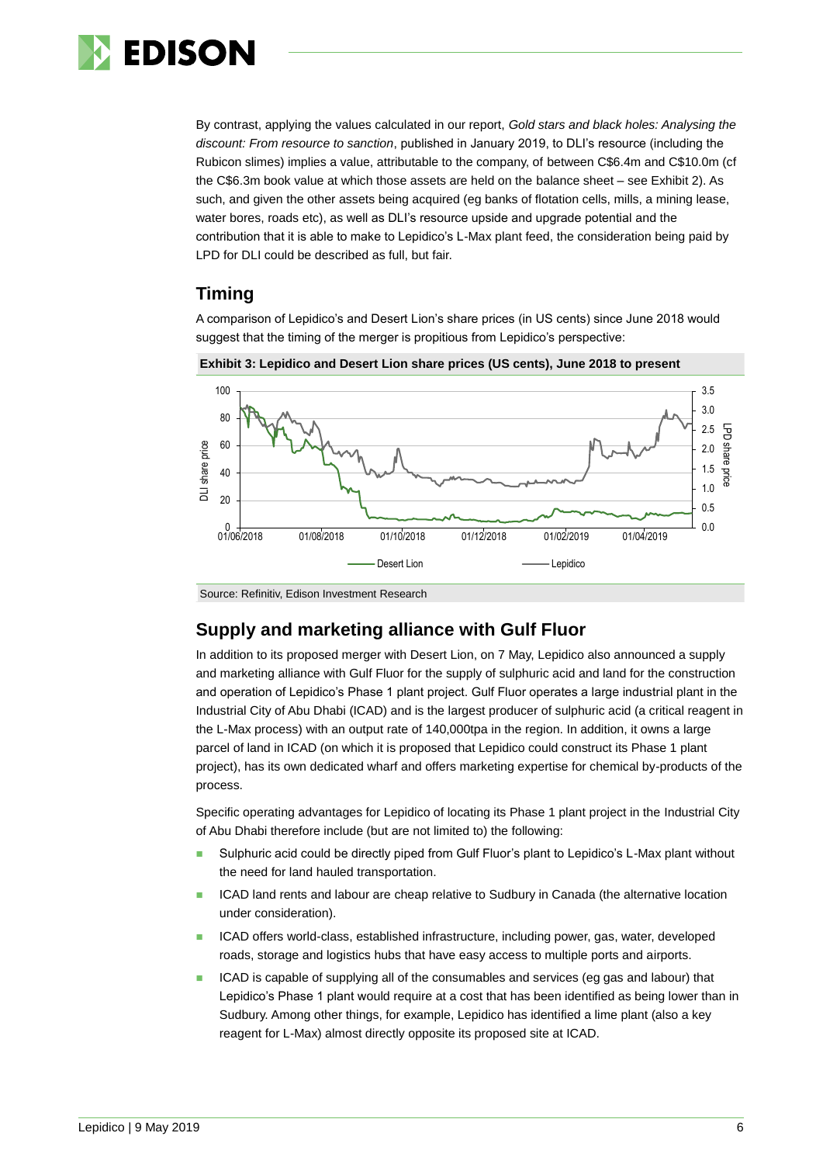

By contrast, applying the values calculated in our report, *Gold stars and black holes: Analysing the discount: From resource to sanction*, published in January 2019, to DLI's resource (including the Rubicon slimes) implies a value, attributable to the company, of between C\$6.4m and C\$10.0m (cf the C\$6.3m book value at which those assets are held on the balance sheet – see Exhibit 2). As such, and given the other assets being acquired (eg banks of flotation cells, mills, a mining lease, water bores, roads etc), as well as DLI's resource upside and upgrade potential and the contribution that it is able to make to Lepidico's L-Max plant feed, the consideration being paid by LPD for DLI could be described as full, but fair.

### **Timing**

A comparison of Lepidico's and Desert Lion's share prices (in US cents) since June 2018 would suggest that the timing of the merger is propitious from Lepidico's perspective:



**Exhibit 3: Lepidico and Desert Lion share prices (US cents), June 2018 to present**

### **Supply and marketing alliance with Gulf Fluor**

In addition to its proposed merger with Desert Lion, on 7 May, Lepidico also announced a supply and marketing alliance with Gulf Fluor for the supply of sulphuric acid and land for the construction and operation of Lepidico's Phase 1 plant project. Gulf Fluor operates a large industrial plant in the Industrial City of Abu Dhabi (ICAD) and is the largest producer of sulphuric acid (a critical reagent in the L-Max process) with an output rate of 140,000tpa in the region. In addition, it owns a large parcel of land in ICAD (on which it is proposed that Lepidico could construct its Phase 1 plant project), has its own dedicated wharf and offers marketing expertise for chemical by-products of the process.

Specific operating advantages for Lepidico of locating its Phase 1 plant project in the Industrial City of Abu Dhabi therefore include (but are not limited to) the following:

- Sulphuric acid could be directly piped from Gulf Fluor's plant to Lepidico's L-Max plant without the need for land hauled transportation.
- ICAD land rents and labour are cheap relative to Sudbury in Canada (the alternative location under consideration).
- ◼ ICAD offers world-class, established infrastructure, including power, gas, water, developed roads, storage and logistics hubs that have easy access to multiple ports and airports.
- ◼ ICAD is capable of supplying all of the consumables and services (eg gas and labour) that Lepidico's Phase 1 plant would require at a cost that has been identified as being lower than in Sudbury. Among other things, for example, Lepidico has identified a lime plant (also a key reagent for L-Max) almost directly opposite its proposed site at ICAD.

Source: Refinitiv, Edison Investment Research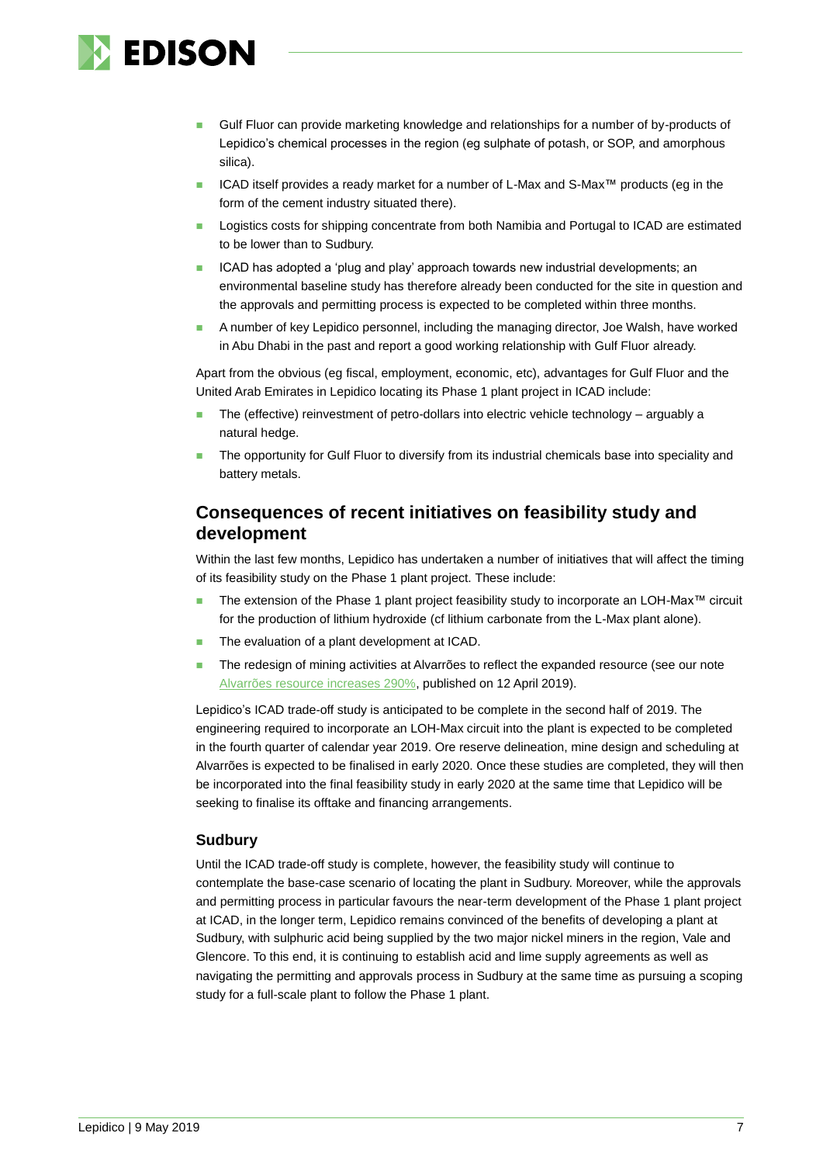

- Gulf Fluor can provide marketing knowledge and relationships for a number of by-products of Lepidico's chemical processes in the region (eg sulphate of potash, or SOP, and amorphous silica).
- ◼ ICAD itself provides a ready market for a number of L-Max and S-Max™ products (eg in the form of the cement industry situated there).
- Logistics costs for shipping concentrate from both Namibia and Portugal to ICAD are estimated to be lower than to Sudbury.
- ◼ ICAD has adopted a 'plug and play' approach towards new industrial developments; an environmental baseline study has therefore already been conducted for the site in question and the approvals and permitting process is expected to be completed within three months.
- ◼ A number of key Lepidico personnel, including the managing director, Joe Walsh, have worked in Abu Dhabi in the past and report a good working relationship with Gulf Fluor already.

Apart from the obvious (eg fiscal, employment, economic, etc), advantages for Gulf Fluor and the United Arab Emirates in Lepidico locating its Phase 1 plant project in ICAD include:

- The (effective) reinvestment of petro-dollars into electric vehicle technology arguably a natural hedge.
- The opportunity for Gulf Fluor to diversify from its industrial chemicals base into speciality and battery metals.

### **Consequences of recent initiatives on feasibility study and development**

Within the last few months, Lepidico has undertaken a number of initiatives that will affect the timing of its feasibility study on the Phase 1 plant project. These include:

- The extension of the Phase 1 plant project feasibility study to incorporate an LOH-Max™ circuit for the production of lithium hydroxide (cf lithium carbonate from the L-Max plant alone).
- The evaluation of a plant development at ICAD.
- The redesign of mining activities at Alvarrões to reflect the expanded resource (see our note [Alvarrões resource increases 290%,](https://www.edisongroup.com/publication/alvarroes-resource-increases-290/23923) published on 12 April 2019).

Lepidico's ICAD trade-off study is anticipated to be complete in the second half of 2019. The engineering required to incorporate an LOH-Max circuit into the plant is expected to be completed in the fourth quarter of calendar year 2019. Ore reserve delineation, mine design and scheduling at Alvarrões is expected to be finalised in early 2020. Once these studies are completed, they will then be incorporated into the final feasibility study in early 2020 at the same time that Lepidico will be seeking to finalise its offtake and financing arrangements.

#### **Sudbury**

Until the ICAD trade-off study is complete, however, the feasibility study will continue to contemplate the base-case scenario of locating the plant in Sudbury. Moreover, while the approvals and permitting process in particular favours the near-term development of the Phase 1 plant project at ICAD, in the longer term, Lepidico remains convinced of the benefits of developing a plant at Sudbury, with sulphuric acid being supplied by the two major nickel miners in the region, Vale and Glencore. To this end, it is continuing to establish acid and lime supply agreements as well as navigating the permitting and approvals process in Sudbury at the same time as pursuing a scoping study for a full-scale plant to follow the Phase 1 plant.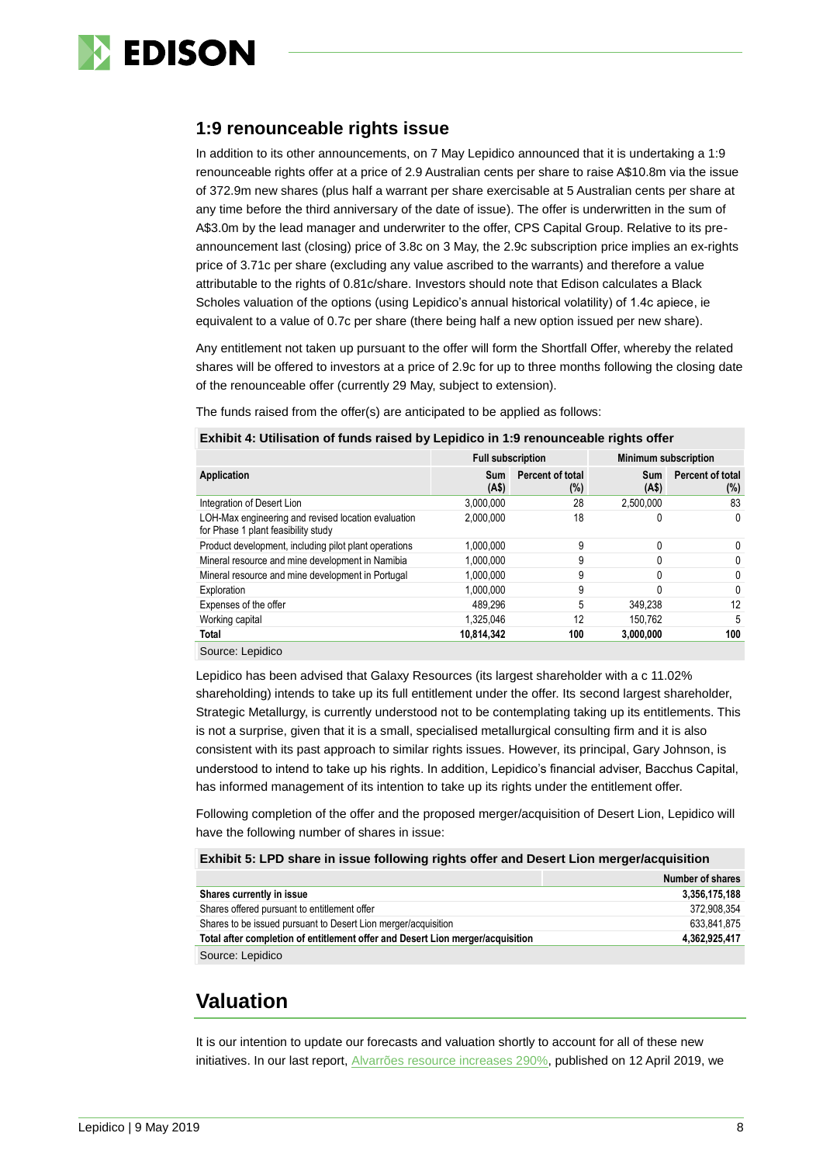

### **1:9 renounceable rights issue**

In addition to its other announcements, on 7 May Lepidico announced that it is undertaking a 1:9 renounceable rights offer at a price of 2.9 Australian cents per share to raise A\$10.8m via the issue of 372.9m new shares (plus half a warrant per share exercisable at 5 Australian cents per share at any time before the third anniversary of the date of issue). The offer is underwritten in the sum of A\$3.0m by the lead manager and underwriter to the offer, CPS Capital Group. Relative to its preannouncement last (closing) price of 3.8c on 3 May, the 2.9c subscription price implies an ex-rights price of 3.71c per share (excluding any value ascribed to the warrants) and therefore a value attributable to the rights of 0.81c/share. Investors should note that Edison calculates a Black Scholes valuation of the options (using Lepidico's annual historical volatility) of 1.4c apiece, ie equivalent to a value of 0.7c per share (there being half a new option issued per new share).

Any entitlement not taken up pursuant to the offer will form the Shortfall Offer, whereby the related shares will be offered to investors at a price of 2.9c for up to three months following the closing date of the renounceable offer (currently 29 May, subject to extension).

The funds raised from the offer(s) are anticipated to be applied as follows:

#### **Exhibit 4: Utilisation of funds raised by Lepidico in 1:9 renounceable rights offer**

|                                                                                            | <b>Full subscription</b> |                         | <b>Minimum subscription</b> |                            |  |  |
|--------------------------------------------------------------------------------------------|--------------------------|-------------------------|-----------------------------|----------------------------|--|--|
| Application                                                                                | <b>Sum</b><br>(AS)       | Percent of total<br>(%) | <b>Sum</b><br>(AS)          | Percent of total<br>$(\%)$ |  |  |
| Integration of Desert Lion                                                                 | 3,000,000                | 28                      | 2.500.000                   | 83                         |  |  |
| LOH-Max engineering and revised location evaluation<br>for Phase 1 plant feasibility study | 2.000.000                | 18                      |                             | 0                          |  |  |
| Product development, including pilot plant operations                                      | 1,000,000                | 9                       | 0                           | 0                          |  |  |
| Mineral resource and mine development in Namibia                                           | 1.000.000                | 9                       | U                           | $\Omega$                   |  |  |
| Mineral resource and mine development in Portugal                                          | 1,000,000                | 9                       |                             | 0                          |  |  |
| Exploration                                                                                | 1,000,000                | 9                       |                             | $\Omega$                   |  |  |
| Expenses of the offer                                                                      | 489.296                  | 5                       | 349.238                     | 12                         |  |  |
| Working capital                                                                            | 1.325.046                | 12                      | 150.762                     | 5                          |  |  |
| Total                                                                                      | 10,814,342               | 100                     | 3,000,000                   | 100                        |  |  |
| Source: Lepidico                                                                           |                          |                         |                             |                            |  |  |

Lepidico has been advised that Galaxy Resources (its largest shareholder with a c 11.02% shareholding) intends to take up its full entitlement under the offer. Its second largest shareholder, Strategic Metallurgy, is currently understood not to be contemplating taking up its entitlements. This is not a surprise, given that it is a small, specialised metallurgical consulting firm and it is also consistent with its past approach to similar rights issues. However, its principal, Gary Johnson, is understood to intend to take up his rights. In addition, Lepidico's financial adviser, Bacchus Capital, has informed management of its intention to take up its rights under the entitlement offer.

Following completion of the offer and the proposed merger/acquisition of Desert Lion, Lepidico will have the following number of shares in issue:

#### **Exhibit 5: LPD share in issue following rights offer and Desert Lion merger/acquisition**

|                                                                                | Number of shares |
|--------------------------------------------------------------------------------|------------------|
| Shares currently in issue                                                      | 3,356,175,188    |
| Shares offered pursuant to entitlement offer                                   | 372.908.354      |
| Shares to be issued pursuant to Desert Lion merger/acquisition                 | 633.841.875      |
| Total after completion of entitlement offer and Desert Lion merger/acquisition | 4,362,925,417    |
| Source: Lepidico                                                               |                  |

### **Valuation**

It is our intention to update our forecasts and valuation shortly to account for all of these new initiatives. In our last report, [Alvarrões resource increases 290%,](https://www.edisongroup.com/publication/alvarroes-resource-increases-290/23923) published on 12 April 2019, we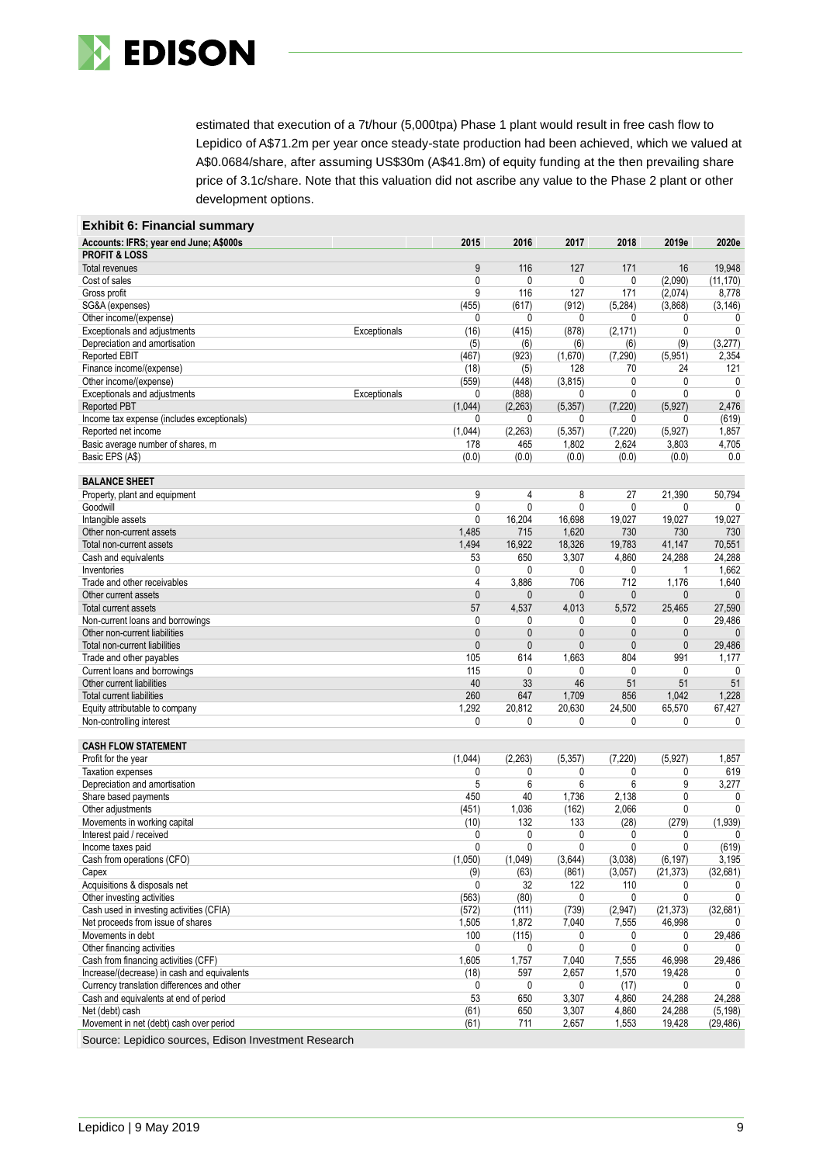

estimated that execution of a 7t/hour (5,000tpa) Phase 1 plant would result in free cash flow to Lepidico of A\$71.2m per year once steady-state production had been achieved, which we valued at A\$0.0684/share, after assuming US\$30m (A\$41.8m) of equity funding at the then prevailing share price of 3.1c/share. Note that this valuation did not ascribe any value to the Phase 2 plant or other development options.

| <b>Exhibit 6: Financial summary</b>                                           |                      |                |                        |                        |                     |               |
|-------------------------------------------------------------------------------|----------------------|----------------|------------------------|------------------------|---------------------|---------------|
| Accounts: IFRS; year end June; A\$000s                                        | 2015                 | 2016           | 2017                   | 2018                   | 2019e               | 2020e         |
| <b>PROFIT &amp; LOSS</b>                                                      |                      |                |                        |                        |                     |               |
| Total revenues                                                                | 9                    | 116            | 127                    | 171                    | 16                  | 19,948        |
| Cost of sales                                                                 | 0                    | 0              | 0                      | 0                      | (2,090)             | (11, 170)     |
| Gross profit                                                                  | 9                    | 116            | 127                    | 171                    | (2,074)             | 8,778         |
| SG&A (expenses)<br>Other income/(expense)                                     | (455)<br>0           | (617)<br>0     | (912)<br>0             | (5, 284)<br>0          | (3,868)<br>0        | (3, 146)<br>0 |
| Exceptionals and adjustments                                                  | Exceptionals<br>(16) | (415)          | (878)                  | (2, 171)               | 0                   | 0             |
| Depreciation and amortisation                                                 | (5)                  | (6)            | (6)                    | (6)                    | (9)                 | (3,277)       |
| <b>Reported EBIT</b>                                                          | (467)                | (923)          | (1,670)                | (7, 290)               | (5,951)             | 2,354         |
| Finance income/(expense)                                                      | (18)                 | (5)            | 128                    | 70                     | 24                  | 121           |
| Other income/(expense)                                                        | (559)                | (448)          | (3,815)                | 0                      | 0                   | 0             |
| Exceptionals and adjustments                                                  | Exceptionals<br>0    | (888)          | 0                      | 0                      | 0                   | $\mathbf{0}$  |
| <b>Reported PBT</b>                                                           | (1,044)              | (2, 263)       | (5, 357)               | (7, 220)               | (5,927)             | 2,476         |
| Income tax expense (includes exceptionals)                                    | 0                    | 0              | 0                      | 0                      | 0                   | (619)         |
| Reported net income                                                           | (1,044)              | (2, 263)       | (5, 357)               | (7, 220)               | (5,927)             | 1,857         |
| Basic average number of shares, m                                             | 178                  | 465            | 1,802                  | 2,624                  | 3,803               | 4,705         |
| Basic EPS (A\$)                                                               | (0.0)                | (0.0)          | (0.0)                  | (0.0)                  | (0.0)               | 0.0           |
|                                                                               |                      |                |                        |                        |                     |               |
| <b>BALANCE SHEET</b>                                                          |                      |                |                        |                        |                     |               |
| Property, plant and equipment                                                 | 9                    | 4              | 8                      | 27                     | 21,390              | 50,794        |
| Goodwill                                                                      | 0<br>0               | 0<br>16,204    | $\mathbf{0}$<br>16,698 | $\mathbf{0}$<br>19,027 | 0<br>19,027         | 19,027        |
| Intangible assets<br>Other non-current assets                                 | 1,485                | 715            | 1,620                  | 730                    | 730                 | 730           |
| Total non-current assets                                                      | 1,494                | 16,922         | 18,326                 | 19,783                 | 41,147              | 70,551        |
| Cash and equivalents                                                          | 53                   | 650            | 3,307                  | 4,860                  | 24,288              | 24,288        |
| Inventories                                                                   | 0                    | 0              | 0                      | 0                      | 1                   | 1,662         |
| Trade and other receivables                                                   | 4                    | 3,886          | 706                    | 712                    | 1,176               | 1,640         |
| Other current assets                                                          | $\mathbf{0}$         | 0              | $\mathbf{0}$           | 0                      | 0                   | $\mathbf{0}$  |
| Total current assets                                                          | 57                   | 4,537          | 4,013                  | 5,572                  | 25,465              | 27,590        |
| Non-current loans and borrowings                                              | $\mathbf{0}$         | 0              | 0                      | 0                      | 0                   | 29,486        |
| Other non-current liabilities                                                 | $\mathbf{0}$         | $\mathbf{0}$   | $\mathbf{0}$           | $\mathbf{0}$           | $\mathbf{0}$        | 0             |
| Total non-current liabilities                                                 | $\mathbf{0}$         | $\mathbf{0}$   | $\mathbf{0}$           | $\mathbf{0}$           | $\mathbf{0}$        | 29,486        |
| Trade and other payables                                                      | 105                  | 614            | 1,663                  | 804                    | 991                 | 1,177         |
| Current loans and borrowings                                                  | 115                  | 0              | 0                      | 0                      | 0                   | 0             |
| Other current liabilities                                                     | 40                   | 33             | 46                     | 51                     | 51                  | 51            |
| Total current liabilities                                                     | 260                  | 647            | 1,709                  | 856                    | 1,042               | 1,228         |
| Equity attributable to company                                                | 1,292                | 20,812         | 20,630                 | 24,500                 | 65,570              | 67,427        |
| Non-controlling interest                                                      | 0                    | 0              | $\mathbf{0}$           | 0                      | 0                   | 0             |
| <b>CASH FLOW STATEMENT</b>                                                    |                      |                |                        |                        |                     |               |
| Profit for the year                                                           | (1,044)              | (2, 263)       | (5, 357)               | (7, 220)               | (5,927)             | 1,857         |
| <b>Taxation expenses</b>                                                      | 0                    | 0              | 0                      | 0                      | 0                   | 619           |
| Depreciation and amortisation                                                 | 5                    | 6              | 6                      | 6                      | 9                   | 3,277         |
| Share based payments                                                          | 450                  | 40             | 1,736                  | 2,138                  | 0                   | 0             |
| Other adjustments                                                             | (451)                | 1,036          | (162)                  | 2,066                  | 0                   | $\mathbf{0}$  |
| Movements in working capital                                                  | (10)                 | 132            | 133                    | (28)                   | (279)               | (1,939)       |
| Interest paid / received                                                      | 0                    | 0              | 0                      | 0                      | 0                   | 0             |
| Income taxes paid                                                             | 0                    | 0              | 0                      | 0                      | 0                   | (619)         |
| Cash from operations (CFO)                                                    | (1,050)              | (1,049)        | (3,644)                | (3,038)                | (6, 197)            | 3,195         |
| Capex                                                                         | (9)                  | (63)           | (861)                  | (3,057)                | (21, 373)           | (32,681)      |
| Acquisitions & disposals net                                                  | 0                    | 32             | 122                    | 110                    | 0                   | 0             |
| Other investing activities                                                    | (563)                | (80)           | 0                      | 0                      | 0                   | 0             |
| Cash used in investing activities (CFIA)<br>Net proceeds from issue of shares | (572)<br>1,505       | (111)<br>1,872 | (739)<br>7,040         | (2,947)<br>7,555       | (21, 373)<br>46,998 | (32,681)      |
| Movements in debt                                                             | 100                  | (115)          | 0                      | 0                      | 0                   | 29,486        |
| Other financing activities                                                    | 0                    | 0              | $\mathbf 0$            | 0                      | 0                   |               |
| Cash from financing activities (CFF)                                          | 1,605                | 1,757          | 7,040                  | 7,555                  | 46,998              | 29,486        |
| Increase/(decrease) in cash and equivalents                                   | (18)                 | 597            | 2,657                  | 1,570                  | 19,428              | 0             |
| Currency translation differences and other                                    | 0                    | 0              | 0                      | (17)                   | 0                   | 0             |
| Cash and equivalents at end of period                                         | 53                   | 650            | 3,307                  | 4,860                  | 24,288              | 24,288        |
| Net (debt) cash                                                               | (61)                 | 650            | 3,307                  | 4,860                  | 24,288              | (5, 198)      |
| Movement in net (debt) cash over period                                       | (61)                 | 711            | 2,657                  | 1,553                  | 19,428              | (29, 486)     |

Source: Lepidico sources, Edison Investment Research